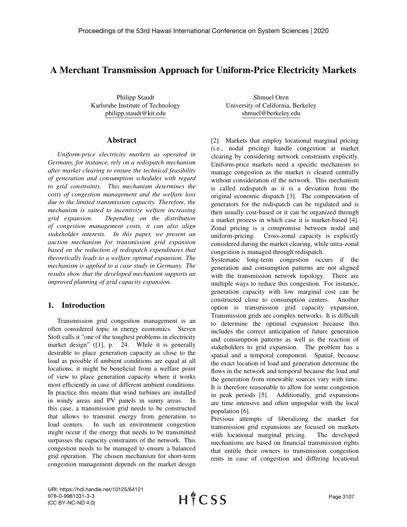# A Merchant Transmission Approach for Uniform-Price Electricity Markets

Philipp Staudt Karlsruhe Institute of Technology philipp.staudt@kit.edu

#### Abstract

*Uniform-price electricity markets as operated in Germany, for instance, rely on a redispatch mechanism after market clearing to ensure the technical feasibility of generation and consumption schedules with regard to grid constraints. This mechanism determines the costs of congestion management and the welfare loss due to the limited transmission capacity. Therefore, the mechanism is suited to incentivize welfare increasing grid expansion. Depending on the distribution of congestion management costs, it can also align stakeholder interests. In this paper, we present an auction mechanism for transmission grid expansion based on the reduction of redispatch expenditures that theoretically leads to a welfare optimal expansion. The mechanism is applied to a case study in Germany. The results show that the developed mechanism supports an improved planning of grid capacity expansion.*

## 1. Introduction

Transmission grid congestion management is an often considered topic in energy economics. Steven Stoft calls it "one of the toughest problems in electricity market design" ([1], p. 24. While it is generally desirable to place generation capacity as close to the load as possible if ambient conditions are equal at all locations, it might be beneficial from a welfare point of view to place generation capacity where it works most efficiently in case of different ambient conditions. In practice this means that wind turbines are installed in windy areas and PV panels in sunny areas. In this case, a transmission grid needs to be constructed that allows to transmit energy from generation to load centers. In such an environment congestion might occur if the energy that needs to be transmitted surpasses the capacity constraints of the network. This congestion needs to be managed to ensure a balanced grid operation. The chosen mechanism for short-term congestion management depends on the market design

Shmuel Oren University of California, Berkeley shmuel@berkeley.edu

[2]. Markets that employ locational marginal pricing (i.e., nodal pricing) handle congestion at market clearing by considering network constraints explicitly. Uniform-price markets need a specific mechanism to manage congestion as the market is cleared centrally without consideration of the network. This mechanism is called redispatch as it is a deviation from the original economic dispatch [3]. The compensation of generators for the redispatch can be regulated and is then usually cost-based or it can be organized through a market process in which case it is market-based [4]. Zonal pricing is a compromise between nodal and uniform-pricing. Cross-zonal capacity is explicitly considered during the market clearing, while intra-zonal congestion is managed through redispatch.

Systematic long-term congestion occurs if the generation and consumption patterns are not aligned with the transmission network topology. There are multiple ways to reduce this congestion. For instance, generation capacity with low marginal cost can be constructed close to consumption centers. Another option is transmission grid capacity expansion. Transmission grids are complex networks. It is difficult to determine the optimal expansion because this includes the correct anticipation of future generation and consumption patterns as well as the reaction of stakeholders to grid expansion. The problem has a spatial and a temporal component. Spatial, because the exact location of load and generation determine the flows in the network and temporal because the load and the generation from renewable sources vary with time. It is therefore reasonable to allow for some congestion in peak periods [5]. Additionally, grid expansions are time intensive and often unpopular with the local population [6].

Previous attempts of liberalizing the market for transmission grid expansions are focused on markets with locational marginal pricing. The developed mechanisms are based on financial transmission rights that entitle their owners to transmission congestion rents in case of congestion and differing locational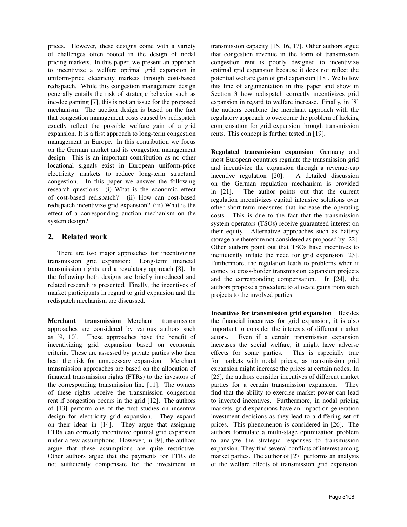prices. However, these designs come with a variety of challenges often rooted in the design of nodal pricing markets. In this paper, we present an approach to incentivize a welfare optimal grid expansion in uniform-price electricity markets through cost-based redispatch. While this congestion management design generally entails the risk of strategic behavior such as inc-dec gaming [7], this is not an issue for the proposed mechanism. The auction design is based on the fact that congestion management costs caused by redispatch exactly reflect the possible welfare gain of a grid expansion. It is a first approach to long-term congestion management in Europe. In this contribution we focus on the German market and its congestion management design. This is an important contribution as no other locational signals exist in European uniform-price electricity markets to reduce long-term structural congestion. In this paper we answer the following research questions: (i) What is the economic effect of cost-based redispatch? (ii) How can cost-based redispatch incentivize grid expansion? (iii) What is the effect of a corresponding auction mechanism on the system design?

## 2. Related work

There are two major approaches for incentivizing transmission grid expansion: Long-term financial transmission rights and a regulatory approach [8]. In the following both designs are briefly introduced and related research is presented. Finally, the incentives of market participants in regard to grid expansion and the redispatch mechanism are discussed.

Merchant transmission Merchant transmission approaches are considered by various authors such as [9, 10]. These approaches have the benefit of incentivizing grid expansion based on economic criteria. These are assessed by private parties who then bear the risk for unnecessary expansion. Merchant transmission approaches are based on the allocation of financial transmission rights (FTRs) to the investors of the corresponding transmission line [11]. The owners of these rights receive the transmission congestion rent if congestion occurs in the grid [12]. The authors of [13] perform one of the first studies on incentive design for electricity grid expansion. They expand on their ideas in [14]. They argue that assigning FTRs can correctly incentivize optimal grid expansion under a few assumptions. However, in [9], the authors argue that these assumptions are quite restrictive. Other authors argue that the payments for FTRs do not sufficiently compensate for the investment in

transmission capacity [15, 16, 17]. Other authors argue that congestion revenue in the form of transmission congestion rent is poorly designed to incentivize optimal grid expansion because it does not reflect the potential welfare gain of grid expansion [18]. We follow this line of argumentation in this paper and show in Section 3 how redispatch correctly incentivizes grid expansion in regard to welfare increase. Finally, in [8] the authors combine the merchant approach with the regulatory approach to overcome the problem of lacking compensation for grid expansion through transmission rents. This concept is further tested in [19].

Regulated transmission expansion Germany and most European countries regulate the transmission grid and incentivize the expansion through a revenue-cap incentive regulation [20]. A detailed discussion on the German regulation mechanism is provided in [21]. The author points out that the current regulation incentivizes capital intensive solutions over other short-term measures that increase the operating costs. This is due to the fact that the transmission system operators (TSOs) receive guaranteed interest on their equity. Alternative approaches such as battery storage are therefore not considered as proposed by [22]. Other authors point out that TSOs have incentives to inefficiently inflate the need for grid expansion [23]. Furthermore, the regulation leads to problems when it comes to cross-border transmission expansion projects and the corresponding compensation. In [24], the authors propose a procedure to allocate gains from such projects to the involved parties.

Incentives for transmission grid expansion Besides the financial incentives for grid expansion, it is also important to consider the interests of different market actors. Even if a certain transmission expansion increases the social welfare, it might have adverse effects for some parties. This is especially true for markets with nodal prices, as transmission grid expansion might increase the prices at certain nodes. In [25], the authors consider incentives of different market parties for a certain transmission expansion. They find that the ability to exercise market power can lead to inverted incentives. Furthermore, in nodal pricing markets, grid expansions have an impact on generation investment decisions as they lead to a differing set of prices. This phenomenon is considered in [26]. The authors formulate a multi-stage optimization problem to analyze the strategic responses to transmission expansion. They find several conflicts of interest among market parties. The author of [27] performs an analysis of the welfare effects of transmission grid expansion.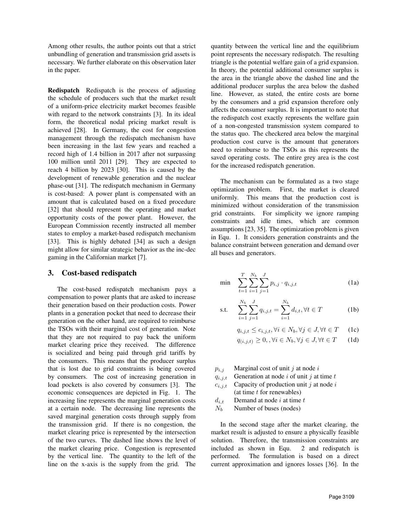Among other results, the author points out that a strict unbundling of generation and transmission grid assets is necessary. We further elaborate on this observation later in the paper.

Redispatch Redispatch is the process of adjusting the schedule of producers such that the market result of a uniform-price electricity market becomes feasible with regard to the network constraints [3]. In its ideal form, the theoretical nodal pricing market result is achieved [28]. In Germany, the cost for congestion management through the redispatch mechanism have been increasing in the last few years and reached a record high of 1.4 billion in 2017 after not surpassing 100 million until 2011 [29]. They are expected to reach 4 billion by 2023 [30]. This is caused by the development of renewable generation and the nuclear phase-out [31]. The redispatch mechanism in Germany is cost-based: A power plant is compensated with an amount that is calculated based on a fixed procedure [32] that should represent the operating and market opportunity costs of the power plant. However, the European Commission recently instructed all member states to employ a market-based redispatch mechanism [33]. This is highly debated [34] as such a design might allow for similar strategic behavior as the inc-dec gaming in the Californian market [7].

## 3. Cost-based redispatch

The cost-based redispatch mechanism pays a compensation to power plants that are asked to increase their generation based on their production costs. Power plants in a generation pocket that need to decrease their generation on the other hand, are required to reimburse the TSOs with their marginal cost of generation. Note that they are not required to pay back the uniform market clearing price they received. The difference is socialized and being paid through grid tariffs by the consumers. This means that the producer surplus that is lost due to grid constraints is being covered by consumers. The cost of increasing generation in load pockets is also covered by consumers [3]. The economic consequences are depicted in Fig. 1. The increasing line represents the marginal generation costs at a certain node. The decreasing line represents the saved marginal generation costs through supply from the transmission grid. If there is no congestion, the market clearing price is represented by the intersection of the two curves. The dashed line shows the level of the market clearing price. Congestion is represented by the vertical line. The quantity to the left of the line on the x-axis is the supply from the grid. The

quantity between the vertical line and the equilibrium point represents the necessary redispatch. The resulting triangle is the potential welfare gain of a grid expansion. In theory, the potential additional consumer surplus is the area in the triangle above the dashed line and the additional producer surplus the area below the dashed line. However, as stated, the entire costs are borne by the consumers and a grid expansion therefore only affects the consumer surplus. It is important to note that the redispatch cost exactly represents the welfare gain of a non-congested transmission system compared to the status quo. The checkered area below the marginal production cost curve is the amount that generators need to reimburse to the TSOs as this represents the saved operating costs. The entire grey area is the cost for the increased redispatch generation.

The mechanism can be formulated as a two stage optimization problem. First, the market is cleared uniformly. This means that the production cost is minimized without consideration of the transmission grid constraints. For simplicity we ignore ramping constraints and idle times, which are common assumptions [23, 35]. The optimization problem is given in Equ. 1. It considers generation constraints and the balance constraint between generation and demand over all buses and generators.

$$
\min \quad \sum_{t=1}^{T} \sum_{i=1}^{N_b} \sum_{j=1}^{J} p_{i,j} \cdot q_{i,j,t} \tag{1a}
$$

s.t. 
$$
\sum_{i=1}^{N_b} \sum_{j=1}^{J} q_{i,j,t} = \sum_{i=1}^{N_b} d_{i,t}, \forall t \in T
$$
 (1b)

$$
q_{i,j,t} \le c_{i,j,t}, \forall i \in N_b, \forall j \in J, \forall t \in T \quad (1c)
$$

$$
q_{(i,j,t)} \ge 0, \forall i \in N_b, \forall j \in J, \forall t \in T \qquad (1d)
$$

 $p_{i,j}$  Marginal cost of unit j at node i

$$
q_{i,j,t}
$$
 Generation at node *i* of unit *j* at time *t*

- $c_{i,j,t}$  Capacity of production unit j at node i  $(at time t for renewables)$
- $d_{i,t}$  Demand at node i at time t

 $N_b$  Number of buses (nodes)

In the second stage after the market clearing, the market result is adjusted to ensure a physically feasible solution. Therefore, the transmission constraints are included as shown in Equ. 2 and redispatch is performed. The formulation is based on a direct current approximation and ignores losses [36]. In the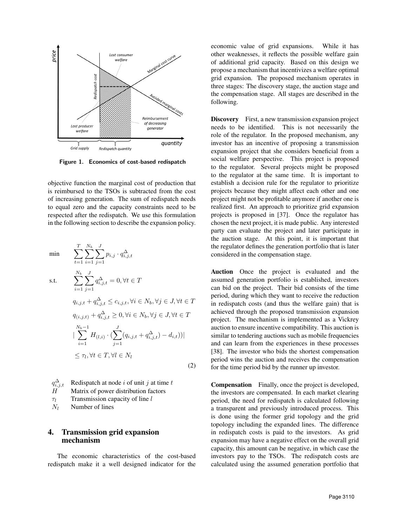

Figure 1. Economics of cost-based redispatch

objective function the marginal cost of production that is reimbursed to the TSOs is subtracted from the cost of increasing generation. The sum of redispatch needs to equal zero and the capacity constraints need to be respected after the redispatch. We use this formulation in the following section to describe the expansion policy.

$$
\min \qquad \sum_{t=1}^{T} \sum_{i=1}^{N_b} \sum_{j=1}^{J} p_{i,j} \cdot q_{i,j,t}^{\Delta}
$$
\n
$$
\text{s.t.} \qquad \sum_{i=1}^{N_b} \sum_{j=1}^{J} q_{i,j,t}^{\Delta} = 0, \forall t \in T
$$
\n
$$
q_{i,j,t} + q_{i,j,t}^{\Delta} \le c_{i,j,t}, \forall i \in N_b, \forall j \in J, \forall t \in T
$$
\n
$$
q_{(i,j,t)} + q_{i,j,t}^{\Delta} \ge 0, \forall i \in N_b, \forall j \in J, \forall t \in T
$$
\n
$$
|\sum_{i=1}^{N_b-1} H_{(l,i)} \cdot (\sum_{j=1}^{J} (q_{i,j,t} + q_{i,j,t}^{\Delta}) - d_{i,t}))|
$$
\n
$$
\le \tau_l, \forall t \in T, \forall l \in N_l \qquad (2)
$$

 $q_i^{\Delta}$  $q_{i,j,t}^{\Delta}$  Redispatch at node *i* of unit *j* at time *t* <br>*H* Matrix of power distribution factors Matrix of power distribution factors  $\tau_l$  Transmission capacity of line l  $N_l$  Number of lines

## 4. Transmission grid expansion mechanism

The economic characteristics of the cost-based redispatch make it a well designed indicator for the economic value of grid expansions. While it has other weaknesses, it reflects the possible welfare gain of additional grid capacity. Based on this design we propose a mechanism that incentivizes a welfare optimal grid expansion. The proposed mechanism operates in three stages: The discovery stage, the auction stage and the compensation stage. All stages are described in the following.

Discovery First, a new transmission expansion project needs to be identified. This is not necessarily the role of the regulator. In the proposed mechanism, any investor has an incentive of proposing a transmission expansion project that she considers beneficial from a social welfare perspective. This project is proposed to the regulator. Several projects might be proposed to the regulator at the same time. It is important to establish a decision rule for the regulator to prioritize projects because they might affect each other and one project might not be profitable anymore if another one is realized first. An approach to prioritize grid expansion projects is proposed in [37]. Once the regulator has chosen the next project, it is made public. Any interested party can evaluate the project and later participate in the auction stage. At this point, it is important that the regulator defines the generation portfolio that is later considered in the compensation stage.

Auction Once the project is evaluated and the assumed generation portfolio is established, investors can bid on the project. Their bid consists of the time period, during which they want to receive the reduction in redispatch costs (and thus the welfare gain) that is achieved through the proposed transmission expansion project. The mechanism is implemented as a Vickrey auction to ensure incentive compatibility. This auction is similar to tendering auctions such as mobile frequencies and can learn from the experiences in these processes [38]. The investor who bids the shortest compensation period wins the auction and receives the compensation for the time period bid by the runner up investor.

Compensation Finally, once the project is developed, the investors are compensated. In each market clearing period, the need for redispatch is calculated following a transparent and previously introduced process. This is done using the former grid topology and the grid topology including the expanded lines. The difference in redispatch costs is paid to the investors. As grid expansion may have a negative effect on the overall grid capacity, this amount can be negative, in which case the investors pay to the TSOs. The redispatch costs are calculated using the assumed generation portfolio that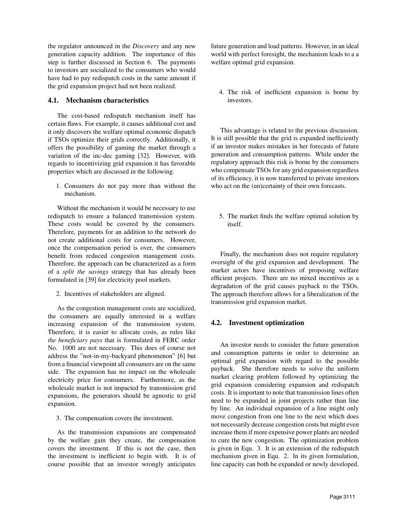the regulator announced in the *Discovery* and any new generation capacity addition. The importance of this step is further discussed in Section 6. The payments to investors are socialized to the consumers who would have had to pay redispatch costs in the same amount if the grid expansion project had not been realized.

#### 4.1. Mechanism characteristics

The cost-based redispatch mechanism itself has certain flaws. For example, it causes additional cost and it only discovers the welfare optimal economic dispatch if TSOs optimize their grids correctly. Additionally, it offers the possibility of gaming the market through a variation of the inc-dec gaming [32]. However, with regards to incentivizing grid expansion it has favorable properties which are discussed in the following.

1. Consumers do not pay more than without the mechanism.

Without the mechanism it would be necessary to use redispatch to ensure a balanced transmission system. These costs would be covered by the consumers. Therefore, payments for an addition to the network do not create additional costs for consumers. However, once the compensation period is over, the consumers benefit from reduced congestion management costs. Therefore, the approach can be characterized as a form of a *split the savings* strategy that has already been formulated in [39] for electricity pool markets.

2. Incentives of stakeholders are aligned.

As the congestion management costs are socialized, the consumers are equally interested in a welfare increasing expansion of the transmission system. Therefore, it is easier to allocate costs, as rules like *the beneficiary pays* that is formulated in FERC order No. 1000 are not necessary. This does of course not address the "not-in-my-backyard phenomenon" [6] but from a financial viewpoint all consumers are on the same side. The expansion has no impact on the wholesale electricity price for consumers. Furthermore, as the wholesale market is not impacted by transmission grid expansions, the generators should be agnostic to grid expansion.

3. The compensation covers the investment.

As the transmission expansions are compensated by the welfare gain they create, the compensation covers the investment. If this is not the case, then the investment is inefficient to begin with. It is of course possible that an investor wrongly anticipates

future generation and load patterns. However, in an ideal world with perfect foresight, the mechanism leads to a a welfare optimal grid expansion.

4. The risk of inefficient expansion is borne by investors.

This advantage is related to the previous discussion. It is still possible that the grid is expanded inefficiently if an investor makes mistakes in her forecasts of future generation and consumption patterns. While under the regulatory approach this risk is borne by the consumers who compensate TSOs for any grid expansion regardless of its efficiency, it is now transferred to private investors who act on the (un)certainty of their own forecasts.

5. The market finds the welfare optimal solution by itself.

Finally, the mechanism does not require regulatory oversight of the grid expansion and development. The market actors have incentives of proposing welfare efficient projects. There are no mixed incentives as a degradation of the grid causes payback to the TSOs. The approach therefore allows for a liberalization of the transmission grid expansion market.

## 4.2. Investment optimization

An investor needs to consider the future generation and consumption patterns in order to determine an optimal grid expansion with regard to the possible payback. She therefore needs to solve the uniform market clearing problem followed by optimizing the grid expansion considering expansion and redispatch costs. It is important to note that transmission lines often need to be expanded in joint projects rather than line by line. An individual expansion of a line might only move congestion from one line to the next which does not necessarily decrease congestion costs but might even increase them if more expensive power plants are needed to cure the new congestion. The optimization problem is given in Equ. 3. It is an extension of the redispatch mechanism given in Equ. 2. In its given formulation, line capacity can both be expanded or newly developed.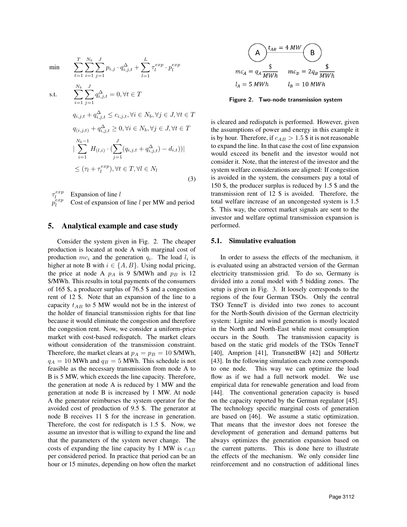min 
$$
\sum_{t=1}^{T} \sum_{i=1}^{N_b} \sum_{j=1}^{J} p_{i,j} \cdot q_{i,j,t}^{\Delta} + \sum_{l=1}^{L} \tau_l^{exp} \cdot p_l^{exp}
$$

s.t. 
$$
\sum_{i=1}^{N_b} \sum_{j=1}^{J} q_{i,j,t}^{\Delta} = 0, \forall t \in T
$$
  
\n
$$
q_{i,j,t} + q_{i,j,t}^{\Delta} \le c_{i,j,t}, \forall i \in N_b, \forall j \in J, \forall t \in T
$$
  
\n
$$
q_{(i,j,t)} + q_{i,j,t}^{\Delta} \ge 0, \forall i \in N_b, \forall j \in J, \forall t \in T
$$
  
\n
$$
|\sum_{i=1}^{N_b-1} H_{(l,i)} \cdot (\sum_{j=1}^{J} (q_{i,j,t} + q_{i,j,t}^{\Delta}) - d_{i,t}))|
$$
  
\n
$$
\le (\tau_l + \tau_l^{exp}), \forall t \in T, \forall l \in N_l
$$
\n(3)

τ exp Expansion of line  $l$ p  $\overset{\circ}{exp}$ Cost of expansion of line  $l$  per MW and period

#### 5. Analytical example and case study

Consider the system given in Fig. 2. The cheaper production is located at node A with marginal cost of production  $mc_i$  and the generation  $q_i$ . The load  $l_i$  is higher at note B with  $i \in \{A, B\}$ . Using nodal pricing, the price at node A  $p_A$  is 9 \$/MWh and  $p_B$  is 12 \$/MWh. This results in total payments of the consumers of 165 \$, a producer surplus of 76.5 \$ and a congestion rent of 12 \$. Note that an expansion of the line to a capacity  $t_{AB}$  to 5 MW would not be in the interest of the holder of financial transmission rights for that line because it would eliminate the congestion and therefore the congestion rent. Now, we consider a uniform-price market with cost-based redispatch. The market clears without consideration of the transmission constraint. Therefore, the market clears at  $p_A = p_B = 10$  \$/MWh,  $q_A = 10$  MWh and  $q_B = 5$  MWh. This schedule is not feasible as the necessary transmission from node A to B is 5 MW, which exceeds the line capacity. Therefore, the generation at node A is reduced by 1 MW and the generation at node B is increased by 1 MW. At node A the generator reimburses the system operator for the avoided cost of production of 9.5 \$. The generator at node B receives 11 \$ for the increase in generation. Therefore, the cost for redispatch is 1.5 \$. Now, we assume an investor that is willing to expand the line and that the parameters of the system never change. The costs of expanding the line capacity by 1 MW is  $c_{AB}$ per considered period. In practice that period can be an hour or 15 minutes, depending on how often the market



Figure 2. Two-node transmission system

is cleared and redispatch is performed. However, given the assumptions of power and energy in this example it is by hour. Therefore, if  $c_{AB} > 1.5$  \$ it is not reasonable to expand the line. In that case the cost of line expansion would exceed its benefit and the investor would not consider it. Note, that the interest of the investor and the system welfare considerations are aligned: If congestion is avoided in the system, the consumers pay a total of 150 \$, the producer surplus is reduced by 1.5 \$ and the transmission rent of 12 \$ is avoided. Therefore, the total welfare increase of an uncongested system is 1.5 \$. This way, the correct market signals are sent to the investor and welfare optimal transmission expansion is performed.

#### 5.1. Simulative evaluation

In order to assess the effects of the mechanism, it is evaluated using an abstracted version of the German electricity transmission grid. To do so, Germany is divided into a zonal model with 5 bidding zones. The setup is given in Fig. 3. It loosely corresponds to the regions of the four German TSOs. Only the central TSO TenneT is divided into two zones to account for the North-South division of the German electricity system: Lignite and wind generation is mostly located in the North and North-East while most consumption occurs in the South. The transmission capacity is based on the static grid models of the TSOs TenneT [40], Amprion [41], TransnetBW [42] and 50Hertz [43]. In the following simulation each zone corresponds to one node. This way we can optimize the load flow as if we had a full network model. We use empirical data for renewable generation and load from [44]. The conventional generation capacity is based on the capacity reported by the German regulator [45]. The technology specific marginal costs of generation are based on [46]. We assume a static optimization. That means that the investor does not foresee the development of generation and demand patterns but always optimizes the generation expansion based on the current patterns. This is done here to illustrate the effects of the mechanism. We only consider line reinforcement and no construction of additional lines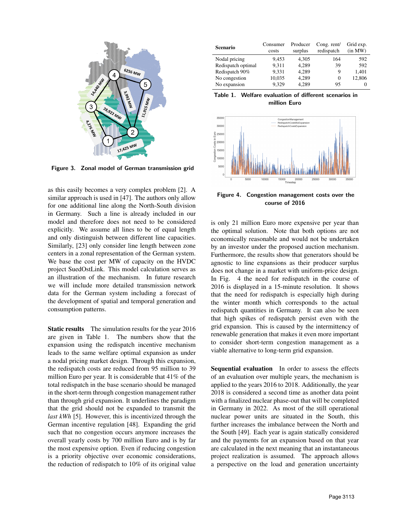

Figure 3. Zonal model of German transmission grid

as this easily becomes a very complex problem [2]. A similar approach is used in [47]. The authors only allow for one additional line along the North-South division in Germany. Such a line is already included in our model and therefore does not need to be considered explicitly. We assume all lines to be of equal length and only distinguish between different line capacities. Similarly, [23] only consider line length between zone centers in a zonal representation of the German system. We base the cost per MW of capacity on the HVDC project SuedOstLink. This model calculation serves as an illustration of the mechanism. In future research we will include more detailed transmission network data for the German system including a forecast of the development of spatial and temporal generation and consumption patterns.

Static results The simulation results for the year 2016 are given in Table 1. The numbers show that the expansion using the redispatch incentive mechanism leads to the same welfare optimal expansion as under a nodal pricing market design. Through this expansion, the redispatch costs are reduced from 95 million to 39 million Euro per year. It is considerable that 41% of the total redispatch in the base scenario should be managed in the short-term through congestion management rather than through grid expansion. It underlines the paradigm that the grid should not be expanded to transmit the *last kWh* [5]. However, this is incentivized through the German incentive regulation [48]. Expanding the grid such that no congestion occurs anymore increases the overall yearly costs by 700 million Euro and is by far the most expensive option. Even if reducing congestion is a priority objective over economic considerations, the reduction of redispatch to 10% of its original value

| Scenario           | Consumer<br>costs | Producer<br>surplus | Cong. rent/<br>redispatch | Grid exp.<br>(in MW) |
|--------------------|-------------------|---------------------|---------------------------|----------------------|
| Nodal pricing      | 9.453             | 4.305               | 164                       | 592                  |
| Redispatch optimal | 9.311             | 4,289               | 39                        | 592                  |
| Redispatch 90%     | 9,331             | 4.289               | 9                         | 1,401                |
| No congestion      | 10,035            | 4,289               | 0                         | 12,806               |
| No expansion       | 9,329             | 4,289               | 95                        | $\theta$             |





Figure 4. Congestion management costs over the course of 2016

is only 21 million Euro more expensive per year than the optimal solution. Note that both options are not economically reasonable and would not be undertaken by an investor under the proposed auction mechanism. Furthermore, the results show that generators should be agnostic to line expansions as their producer surplus does not change in a market with uniform-price design. In Fig. 4 the need for redispatch in the course of 2016 is displayed in a 15-minute resolution. It shows that the need for redispatch is especially high during the winter month which corresponds to the actual redispatch quantities in Germany. It can also be seen that high spikes of redispatch persist even with the grid expansion. This is caused by the intermittency of renewable generation that makes it even more important to consider short-term congestion management as a viable alternative to long-term grid expansion.

Sequential evaluation In order to assess the effects of an evaluation over multiple years, the mechanism is applied to the years 2016 to 2018. Additionally, the year 2018 is considered a second time as another data point with a finalized nuclear phase-out that will be completed in Germany in 2022. As most of the still operational nuclear power units are situated in the South, this further increases the imbalance between the North and the South [49]. Each year is again statically considered and the payments for an expansion based on that year are calculated in the next meaning that an instantaneous project realization is assumed. The approach allows a perspective on the load and generation uncertainty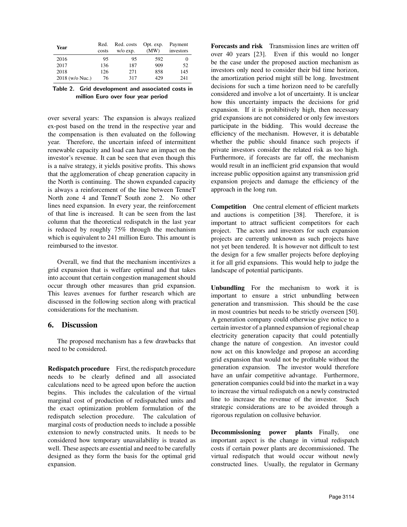| Year            | Red.  | Red. costs | Opt. exp. | Payment   |
|-----------------|-------|------------|-----------|-----------|
|                 | costs | $w/o$ exp. | (MW)      | investors |
| 2016            | 95    | 95         | 592       | $_{0}$    |
| 2017            | 136   | 187        | 909       | 52        |
| 2018            | 126   | 271        | 858       | 145       |
| 2018 (w/o Nuc.) | 76    | 317        | 429       | 241       |

Table 2. Grid development and associated costs in million Euro over four year period

over several years: The expansion is always realized ex-post based on the trend in the respective year and the compensation is then evaluated on the following year. Therefore, the uncertain infeed of intermittent renewable capacity and load can have an impact on the investor's revenue. It can be seen that even though this is a naïve strategy, it yields positive profits. This shows that the agglomeration of cheap generation capacity in the North is continuing. The shown expanded capacity is always a reinforcement of the line between TenneT North zone 4 and TenneT South zone 2. No other lines need expansion. In every year, the reinforcement of that line is increased. It can be seen from the last column that the theoretical redispatch in the last year is reduced by roughly 75% through the mechanism which is equivalent to 241 million Euro. This amount is reimbursed to the investor.

Overall, we find that the mechanism incentivizes a grid expansion that is welfare optimal and that takes into account that certain congestion management should occur through other measures than grid expansion. This leaves avenues for further research which are discussed in the following section along with practical considerations for the mechanism.

## 6. Discussion

The proposed mechanism has a few drawbacks that need to be considered.

Redispatch procedure First, the redispatch procedure needs to be clearly defined and all associated calculations need to be agreed upon before the auction begins. This includes the calculation of the virtual marginal cost of production of redispatched units and the exact optimization problem formulation of the redispatch selection procedure. The calculation of marginal costs of production needs to include a possible extension to newly constructed units. It needs to be considered how temporary unavailability is treated as well. These aspects are essential and need to be carefully designed as they form the basis for the optimal grid expansion.

Forecasts and risk Transmission lines are written off over 40 years [23]. Even if this would no longer be the case under the proposed auction mechanism as investors only need to consider their bid time horizon, the amortization period might still be long. Investment decisions for such a time horizon need to be carefully considered and involve a lot of uncertainty. It is unclear how this uncertainty impacts the decisions for grid expansion. If it is prohibitively high, then necessary grid expansions are not considered or only few investors participate in the bidding. This would decrease the efficiency of the mechanism. However, it is debatable whether the public should finance such projects if private investors consider the related risk as too high. Furthermore, if forecasts are far off, the mechanism would result in an inefficient grid expansion that would increase public opposition against any transmission grid expansion projects and damage the efficiency of the approach in the long run.

Competition One central element of efficient markets and auctions is competition [38]. Therefore, it is important to attract sufficient competitors for each project. The actors and investors for such expansion projects are currently unknown as such projects have not yet been tendered. It is however not difficult to test the design for a few smaller projects before deploying it for all grid expansions. This would help to judge the landscape of potential participants.

Unbundling For the mechanism to work it is important to ensure a strict unbundling between generation and transmission. This should be the case in most countries but needs to be strictly overseen [50]. A generation company could otherwise give notice to a certain investor of a planned expansion of regional cheap electricity generation capacity that could potentially change the nature of congestion. An investor could now act on this knowledge and propose an according grid expansion that would not be profitable without the generation expansion. The investor would therefore have an unfair competitive advantage. Furthermore, generation companies could bid into the market in a way to increase the virtual redispatch on a newly constructed line to increase the revenue of the investor. Such strategic considerations are to be avoided through a rigorous regulation on collusive behavior.

Decommissioning power plants Finally, one important aspect is the change in virtual redispatch costs if certain power plants are decommissioned. The virtual redispatch that would occur without newly constructed lines. Usually, the regulator in Germany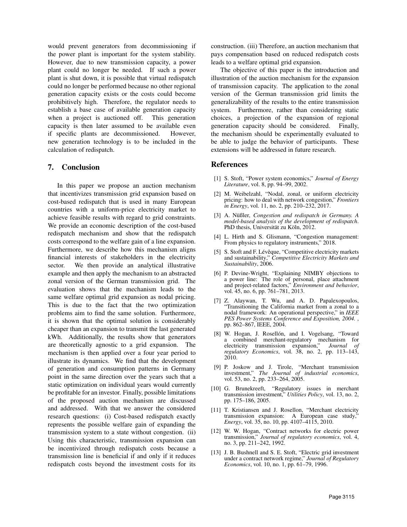would prevent generators from decommissioning if the power plant is important for the system stability. However, due to new transmission capacity, a power plant could no longer be needed. If such a power plant is shut down, it is possible that virtual redispatch could no longer be performed because no other regional generation capacity exists or the costs could become prohibitively high. Therefore, the regulator needs to establish a base case of available generation capacity when a project is auctioned off. This generation capacity is then later assumed to be available even if specific plants are decommissioned. However, new generation technology is to be included in the calculation of redispatch.

#### 7. Conclusion

In this paper we propose an auction mechanism that incentivizes transmission grid expansion based on cost-based redispatch that is used in many European countries with a uniform-price electricity market to achieve feasible results with regard to grid constraints. We provide an economic description of the cost-based redispatch mechanism and show that the redispatch costs correspond to the welfare gain of a line expansion. Furthermore, we describe how this mechanism aligns financial interests of stakeholders in the electricity sector. We then provide an analytical illustrative example and then apply the mechanism to an abstracted zonal version of the German transmission grid. The evaluation shows that the mechanism leads to the same welfare optimal grid expansion as nodal pricing. This is due to the fact that the two optimization problems aim to find the same solution. Furthermore, it is shown that the optimal solution is considerably cheaper than an expansion to transmit the last generated kWh. Additionally, the results show that generators are theoretically agnostic to a grid expansion. The mechanism is then applied over a four year period to illustrate its dynamics. We find that the development of generation and consumption patterns in Germany point in the same direction over the years such that a static optimization on individual years would currently be profitable for an investor. Finally, possible limitations of the proposed auction mechanism are discussed and addressed. With that we answer the considered research questions: (i) Cost-based redispatch exactly represents the possible welfare gain of expanding the transmission system to a state without congestion. (ii) Using this characteristic, transmission expansion can be incentivized through redispatch costs because a transmission line is beneficial if and only if it reduces redispatch costs beyond the investment costs for its

construction. (iii) Therefore, an auction mechanism that pays compensation based on reduced redispatch costs leads to a welfare optimal grid expansion.

The objective of this paper is the introduction and illustration of the auction mechanism for the expansion of transmission capacity. The application to the zonal version of the German transmission grid limits the generalizability of the results to the entire transmission system. Furthermore, rather than considering static choices, a projection of the expansion of regional generation capacity should be considered. Finally, the mechanism should be experimentally evaluated to be able to judge the behavior of participants. These extensions will be addressed in future research.

#### References

- [1] S. Stoft, "Power system economics," *Journal of Energy Literature*, vol. 8, pp. 94–99, 2002.
- [2] M. Weibelzahl, "Nodal, zonal, or uniform electricity pricing: how to deal with network congestion," *Frontiers in Energy*, vol. 11, no. 2, pp. 210–232, 2017.
- [3] A. Nüßler, *Congestion and redispatch in Germany. A model-based analysis of the development of redispatch*. PhD thesis, Universität zu Köln, 2012.
- [4] L. Hirth and S. Glismann, "Congestion management: From physics to regulatory instruments," 2018.
- [5] S. Stoft and F. Lévêque, "Competitive electricity markets and sustainability," *Competitive Electricity Markets and Sustainability*, 2006.
- [6] P. Devine-Wright, "Explaining NIMBY objections to a power line: The role of personal, place attachment and project-related factors," *Environment and behavior*, vol. 45, no. 6, pp. 761–781, 2013.
- [7] Z. Alaywan, T. Wu, and A. D. Papalexopoulos, "Transitioning the California market from a zonal to a nodal framework: An operational perspective," in *IEEE PES Power Systems Conference and Exposition, 2004.* , pp. 862–867, IEEE, 2004.
- [8] W. Hogan, J. Rosellón, and I. Vogelsang, "Toward a combined merchant-regulatory mechanism for electricity transmission expansion," *Journal of regulatory Economics*, vol. 38, no. 2, pp. 113–143, 2010.
- [9] P. Joskow and J. Tirole, "Merchant transmission investment," *The Journal of industrial economics*, vol. 53, no. 2, pp. 233–264, 2005.
- [10] G. Brunekreeft, "Regulatory issues in merchant transmission investment," *Utilities Policy*, vol. 13, no. 2, pp. 175–186, 2005.
- [11] T. Kristiansen and J. Rosellon, "Merchant electricity transmission expansion: A European case study, *Energy*, vol. 35, no. 10, pp. 4107–4115, 2010.
- [12] W. W. Hogan, "Contract networks for electric power transmission," *Journal of regulatory economics*, vol. 4, no. 3, pp. 211–242, 1992.
- [13] J. B. Bushnell and S. E. Stoft, "Electric grid investment under a contract network regime," *Journal of Regulatory Economics*, vol. 10, no. 1, pp. 61–79, 1996.